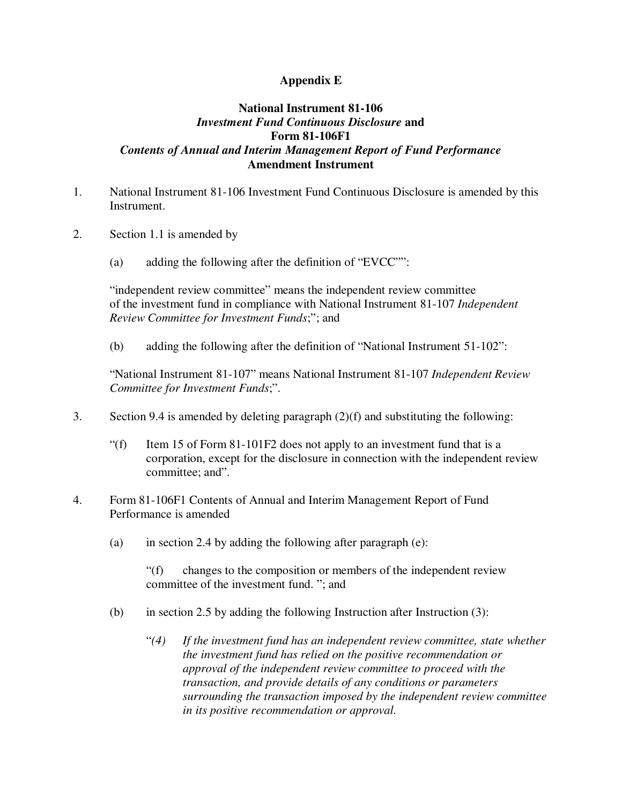## **Appendix E**

## **National Instrument 81-106** *Investment Fund Continuous Disclosure* **and Form 81-106F1** *Contents of Annual and Interim Management Report of Fund Performance* **Amendment Instrument**

- 1. National Instrument 81-106 Investment Fund Continuous Disclosure is amended by this Instrument.
- 2. Section 1.1 is amended by
	- (a) adding the following after the definition of "EVCC"":

"independent review committee" means the independent review committee of the investment fund in compliance with National Instrument 81-107 *Independent Review Committee for Investment Funds*;"; and

(b) adding the following after the definition of "National Instrument 51-102":

"National Instrument 81-107" means National Instrument 81-107 *Independent Review Committee for Investment Funds*;".

- 3. Section 9.4 is amended by deleting paragraph (2)(f) and substituting the following:
	- "(f) Item 15 of Form  $81-101F2$  does not apply to an investment fund that is a corporation, except for the disclosure in connection with the independent review committee; and".
- 4. Form 81-106F1 Contents of Annual and Interim Management Report of Fund Performance is amended
	- (a) in section 2.4 by adding the following after paragraph  $(e)$ :

"(f) changes to the composition or members of the independent review committee of the investment fund. "; and

- (b) in section 2.5 by adding the following Instruction after Instruction (3):
	- "*(4) If the investment fund has an independent review committee, state whether the investment fund has relied on the positive recommendation or approval of the independent review committee to proceed with the transaction, and provide details of any conditions or parameters surrounding the transaction imposed by the independent review committee in its positive recommendation or approval.*